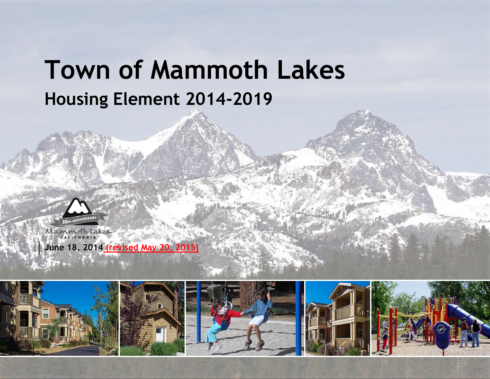# **Town of Mammoth Lakes Housing Element 2014-2019**



Mammoth Lakes CALIFORNIA

**June 18, 2014 (revised May 20, 2015)**

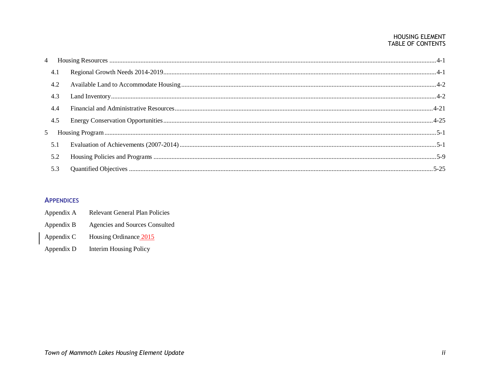#### HOUSING ELEMENT TABLE OF CONTENTS

|                | 4.1 |  |
|----------------|-----|--|
|                | 4.2 |  |
|                | 4.3 |  |
|                | 4.4 |  |
|                | 4.5 |  |
| $\mathfrak{L}$ |     |  |
|                | 5.1 |  |
|                | 5.2 |  |
|                | 5.3 |  |

### **APPENDICES**

**Relevant General Plan Policies** Appendix A Appendix B Agencies and Sources Consulted Appendix C Housing Ordinance 2015

Appendix D **Interim Housing Policy**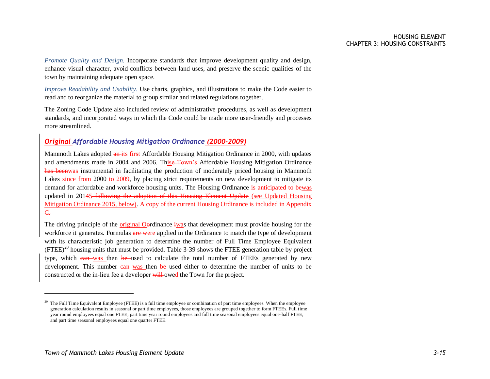*Promote Quality and Design.* Incorporate standards that improve development quality and design, enhance visual character, avoid conflicts between land uses, and preserve the scenic qualities of the town by maintaining adequate open space.

*Improve Readability and Usability.* Use charts, graphics, and illustrations to make the Code easier to read and to reorganize the material to group similar and related regulations together.

The Zoning Code Update also included review of administrative procedures, as well as development standards, and incorporated ways in which the Code could be made more user-friendly and processes more streamlined.

#### *Original Affordable Housing Mitigation Ordinance (2000-2009)*

Mammoth Lakes adopted an its first Affordable Housing Mitigation Ordinance in 2000, with updates and amendments made in 2004 and 2006. Thise Town's Affordable Housing Mitigation Ordinance has beenwas instrumental in facilitating the production of moderately priced housing in Mammoth Lakes since from 2000 to 2009, by placing strict requirements on new development to mitigate its demand for affordable and workforce housing units. The Housing Ordinance is anticipated to bewas updated in 20145-following the adoption of this Housing Element Update (see Updated Housing Mitigation Ordinance 2015, below). A copy of the current Housing Ordinance is included in Appendix C.

The driving principle of the original Oordinance iwas that development must provide housing for the workforce it generates. Formulas are were applied in the Ordinance to match the type of development with its characteristic job generation to determine the number of Full Time Employee Equivalent  $($ FTEE $)$ <sup>20</sup> housing units that must be provided. Table 3-39 shows the FTEE generation table by project type, which can was then be used to calculate the total number of FTEEs generated by new development. This number can was then be used either to determine the number of units to be constructed or the in-lieu fee a developer will owed the Town for the project.

 $\overline{a}$ 

 $20$  The Full Time Equivalent Employee (FTEE) is a full time employee or combination of part time employees. When the employee generation calculation results in seasonal or part time employees, those employees are grouped together to form FTEEs. Full time year round employees equal one FTEE, part time year round employees and full time seasonal employees equal one-half FTEE, and part time seasonal employees equal one quarter FTEE.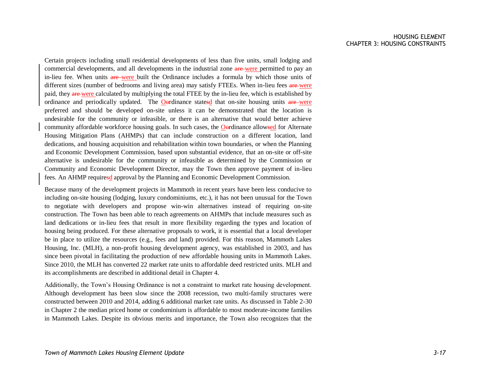Certain projects including small residential developments of less than five units, small lodging and commercial developments, and all developments in the industrial zone are were permitted to pay an in-lieu fee. When units are were built the Ordinance includes a formula by which those units of different sizes (number of bedrooms and living area) may satisfy FTEEs. When in-lieu fees are were paid, they are were calculated by multiplying the total FTEE by the in-lieu fee, which is established by ordinance and periodically updated. The Oordinance statesd that on-site housing units are were preferred and should be developed on-site unless it can be demonstrated that the location is undesirable for the community or infeasible, or there is an alternative that would better achieve community affordable workforce housing goals. In such cases, the Oordinance allowsed for Alternate Housing Mitigation Plans (AHMPs) that can include construction on a different location, land dedications, and housing acquisition and rehabilitation within town boundaries, or when the Planning and Economic Development Commission, based upon substantial evidence, that an on-site or off-site alternative is undesirable for the community or infeasible as determined by the Commission or Community and Economic Development Director, may the Town then approve payment of in-lieu fees. An AHMP requiresd approval by the Planning and Economic Development Commission.

Because many of the development projects in Mammoth in recent years have been less conducive to including on-site housing (lodging, luxury condominiums, etc.), it has not been unusual for the Town to negotiate with developers and propose win-win alternatives instead of requiring on-site construction. The Town has been able to reach agreements on AHMPs that include measures such as land dedications or in-lieu fees that result in more flexibility regarding the types and location of housing being produced. For these alternative proposals to work, it is essential that a local developer be in place to utilize the resources (e.g., fees and land) provided. For this reason, Mammoth Lakes Housing, Inc. (MLH), a non-profit housing development agency, was established in 2003, and has since been pivotal in facilitating the production of new affordable housing units in Mammoth Lakes. Since 2010, the MLH has converted 22 market rate units to affordable deed restricted units. MLH and its accomplishments are described in additional detail in Chapter 4.

Additionally, the Town's Housing Ordinance is not a constraint to market rate housing development. Although development has been slow since the 2008 recession, two multi-family structures were constructed between 2010 and 2014, adding 6 additional market rate units. As discussed in Table 2-30 in Chapter 2 the median priced home or condominium is affordable to most moderate-income families in Mammoth Lakes. Despite its obvious merits and importance, the Town also recognizes that the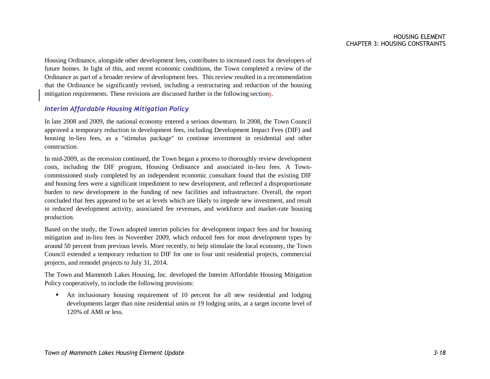Housing Ordinance, alongside other development fees, contributes to increased costs for developers of future homes. In light of this, and recent economic conditions, the Town completed a review of the Ordinance as part of a broader review of development fees. This review resulted in a recommendation that the Ordinance be significantly revised, including a restructuring and reduction of the housing mitigation requirements. These revisions are discussed further in the following sections.

#### *Interim Affordable Housing Mitigation Policy*

In late 2008 and 2009, the national economy entered a serious downturn. In 2008, the Town Council approved a temporary reduction in development fees, including Development Impact Fees (DIF) and housing in-lieu fees, as a "stimulus package" to continue investment in residential and other construction.

In mid-2009, as the recession continued, the Town began a process to thoroughly review development costs, including the DIF program, Housing Ordinance and associated in-lieu fees. A Towncommissioned study completed by an independent economic consultant found that the existing DIF and housing fees were a significant impediment to new development, and reflected a disproportionate burden to new development in the funding of new facilities and infrastructure. Overall, the report concluded that fees appeared to be set at levels which are likely to impede new investment, and result in reduced development activity, associated fee revenues, and workforce and market-rate housing production.

Based on the study, the Town adopted interim policies for development impact fees and for housing mitigation and in-lieu fees in November 2009, which reduced fees for most development types by around 50 percent from previous levels. More recently, to help stimulate the local economy, the Town Council extended a temporary reduction to DIF for one to four unit residential projects, commercial projects, and remodel projects to July 31, 2014.

The Town and Mammoth Lakes Housing, Inc. developed the Interim Affordable Housing Mitigation Policy cooperatively, to include the following provisions:

 An inclusionary housing requirement of 10 percent for all new residential and lodging developments larger than nine residential units or 19 lodging units, at a target income level of 120% of AMI or less.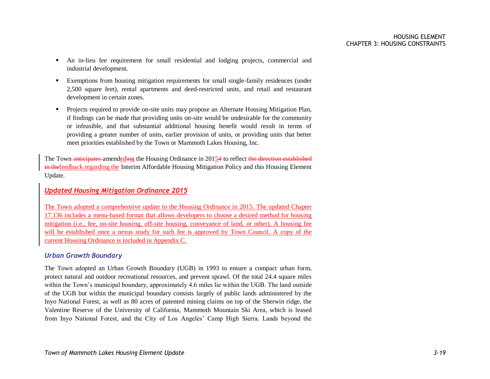- An in-lieu fee requirement for small residential and lodging projects, commercial and industrial development.
- Exemptions from housing mitigation requirements for small single-family residences (under 2,500 square feet), rental apartments and deed-restricted units, and retail and restaurant development in certain zones.
- **Projects required to provide on-site units may propose an Alternate Housing Mitigation Plan,** if findings can be made that providing units on-site would be undesirable for the community or infeasible, and that substantial additional housing benefit would result in terms of providing a greater number of units, earlier provision of units, or providing units that better meet priorities established by the Town or Mammoth Lakes Housing, Inc.

The Town anticipates amendeding the Housing Ordinance in 20154 to reflect the direction established in thefeedback regarding the Interim Affordable Housing Mitigation Policy and this Housing Element Update.

#### *Updated Housing Mitigation Ordinance 2015*

The Town adopted a comprehensive update to the Housing Ordinance in 2015. The updated Chapter 17.136 includes a menu-based format that allows developers to choose a desired method for housing mitigation (i.e., fee, on-site housing, off-site housing, conveyance of land, or other). A housing fee will be established once a nexus study for such fee is approved by Town Council. A copy of the current Housing Ordinance is included in Appendix C.

#### *Urban Growth Boundary*

The Town adopted an Urban Growth Boundary (UGB) in 1993 to ensure a compact urban form, protect natural and outdoor recreational resources, and prevent sprawl. Of the total 24.4 square miles within the Town's municipal boundary, approximately 4.6 miles lie within the UGB. The land outside of the UGB but within the municipal boundary consists largely of public lands administered by the Inyo National Forest, as well as 80 acres of patented mining claims on top of the Sherwin ridge, the Valentine Reserve of the University of California, Mammoth Mountain Ski Area, which is leased from Inyo National Forest, and the City of Los Angeles' Camp High Sierra. Lands beyond the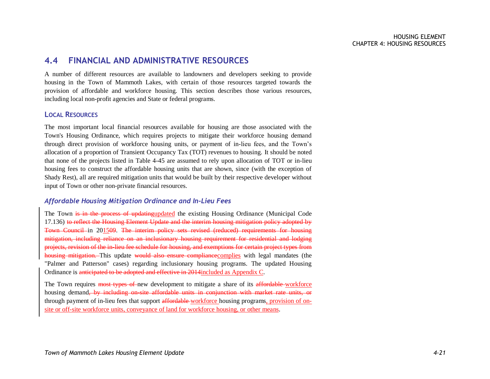## <span id="page-7-0"></span>**4.4 FINANCIAL AND ADMINISTRATIVE RESOURCES**

A number of different resources are available to landowners and developers seeking to provide housing in the Town of Mammoth Lakes, with certain of those resources targeted towards the provision of affordable and workforce housing. This section describes those various resources, including local non-profit agencies and State or federal programs.

#### **LOCAL RESOURCES**

The most important local financial resources available for housing are those associated with the Town's Housing Ordinance, which requires projects to mitigate their workforce housing demand through direct provision of workforce housing units, or payment of in-lieu fees, and the Town's allocation of a proportion of Transient Occupancy Tax (TOT) revenues to housing. It should be noted that none of the projects listed in Table 4-45 are assumed to rely upon allocation of TOT or in-lieu housing fees to construct the affordable housing units that are shown, since (with the exception of Shady Rest), all are required mitigation units that would be built by their respective developer without input of Town or other non-private financial resources.

#### *Affordable Housing Mitigation Ordinance and In-Lieu Fees*

The Town is in the process of updatingupdated the existing Housing Ordinance (Municipal Code 17.136) to reflect the Housing Element Update and the interim housing mitigation policy adopted by Town Council in 201509. The interim policy sets revised (reduced) requirements for housing mitigation, including reliance on an inclusionary housing requirement for residential and lodging projects, revision of the in-lieu fee schedule for housing, and exemptions for certain project types from housing mitigation. This update would also ensure compliance complies with legal mandates (the "Palmer and Patterson" cases) regarding inclusionary housing programs. The updated Housing Ordinance is anticipated to be adopted and effective in 2014included as Appendix C.

The Town requires most types of new development to mitigate a share of its affordable workforce housing demand, by including on-site affordable units in conjunction with market rate units, or through payment of in-lieu fees that support affordable workforce housing programs, provision of onsite or off-site workforce units, conveyance of land for workforce housing, or other means.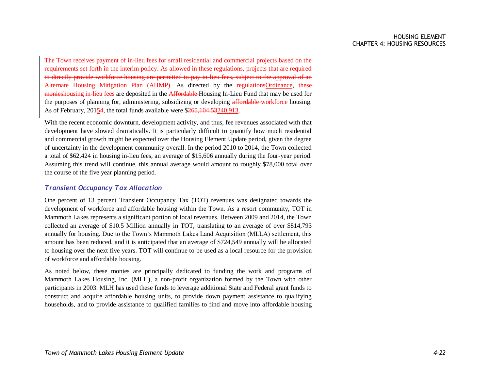The Town receives payment of in-lieu fees for small residential and commercial projects based on the requirements set forth in the interim policy. As allowed in these regulations, projects that are required to directly provide workforce housing are permitted to pay in-lieu fees, subject to the approval of an Alternate Housing Mitigation Plan (AHMP). As directed by the regulationsOrdinance, these monieshousing in-lieu fees are deposited in the Affordable Housing In-Lieu Fund that may be used for the purposes of planning for, administering, subsidizing or developing affordable workforce housing. As of February, 20154, the total funds available were \$265,104.53240,913.

With the recent economic downturn, development activity, and thus, fee revenues associated with that development have slowed dramatically. It is particularly difficult to quantify how much residential and commercial growth might be expected over the Housing Element Update period, given the degree of uncertainty in the development community overall. In the period 2010 to 2014, the Town collected a total of \$62,424 in housing in-lieu fees, an average of \$15,606 annually during the four-year period. Assuming this trend will continue, this annual average would amount to roughly \$78,000 total over the course of the five year planning period.

#### *Transient Occupancy Tax Allocation*

One percent of 13 percent Transient Occupancy Tax (TOT) revenues was designated towards the development of workforce and affordable housing within the Town. As a resort community, TOT in Mammoth Lakes represents a significant portion of local revenues. Between 2009 and 2014, the Town collected an average of \$10.5 Million annually in TOT, translating to an average of over \$814,793 annually for housing. Due to the Town's Mammoth Lakes Land Acquisition (MLLA) settlement, this amount has been reduced, and it is anticipated that an average of \$724,549 annually will be allocated to housing over the next five years. TOT will continue to be used as a local resource for the provision of workforce and affordable housing.

As noted below, these monies are principally dedicated to funding the work and programs of Mammoth Lakes Housing, Inc. (MLH), a non-profit organization formed by the Town with other participants in 2003. MLH has used these funds to leverage additional State and Federal grant funds to construct and acquire affordable housing units, to provide down payment assistance to qualifying households, and to provide assistance to qualified families to find and move into affordable housing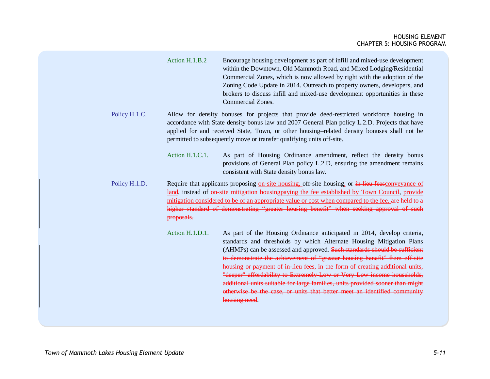Action H.1.B.2 Encourage housing development as part of infill and mixed-use development within the Downtown, Old Mammoth Road, and Mixed Lodging/Residential Commercial Zones, which is now allowed by right with the adoption of the Zoning Code Update in 2014. Outreach to property owners, developers, and brokers to discuss infill and mixed-use development opportunities in these Commercial Zones.

- Policy H.1.C. Allow for density bonuses for projects that provide deed-restricted workforce housing in accordance with State density bonus law and 2007 General Plan policy L.2.D. Projects that have applied for and received State, Town, or other housing–related density bonuses shall not be permitted to subsequently move or transfer qualifying units off-site.
	- Action H.1.C.1. As part of Housing Ordinance amendment, reflect the density bonus provisions of General Plan policy L.2.D, ensuring the amendment remains consistent with State density bonus law.

Policy H.1.D. Require that applicants proposing on-site housing, off-site housing, or in-lieu feesconveyance of land, instead of on-site mitigation housingpaying the fee established by Town Council, provide mitigation considered to be of an appropriate value or cost when compared to the fee. are held to a higher standard of demonstrating "greater housing benefit" when seeking approval of such proposals.

> Action H.1.D.1. As part of the Housing Ordinance anticipated in 2014, develop criteria, standards and thresholds by which Alternate Housing Mitigation Plans (AHMPs) can be assessed and approved. Such standards should be sufficient to demonstrate the achievement of "greater housing benefit" from off site housing or payment of in-lieu fees, in the form of creating additional units, "deeper" affordability to Extremely-Low or Very Low income households, additional units suitable for large families, units provided sooner than might otherwise be the case, or units that better meet an identified community housing need.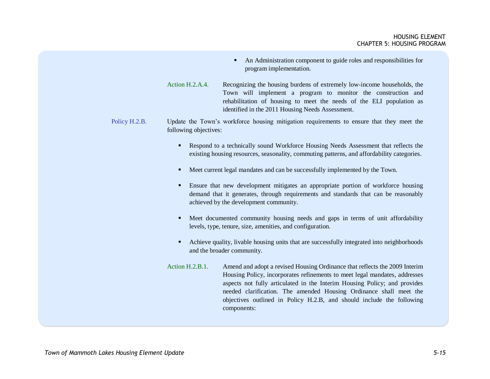- An Administration component to guide roles and responsibilities for program implementation.
- Action H.2.A.4. Recognizing the housing burdens of extremely low-income households, the Town will implement a program to monitor the construction and rehabilitation of housing to meet the needs of the ELI population as identified in the 2011 Housing Needs Assessment.
- Policy H.2.B. Update the Town's workforce housing mitigation requirements to ensure that they meet the following objectives:
	- Respond to a technically sound Workforce Housing Needs Assessment that reflects the existing housing resources, seasonality, commuting patterns, and affordability categories.
	- Meet current legal mandates and can be successfully implemented by the Town.
	- Ensure that new development mitigates an appropriate portion of workforce housing demand that it generates, through requirements and standards that can be reasonably achieved by the development community.
	- Meet documented community housing needs and gaps in terms of unit affordability levels, type, tenure, size, amenities, and configuration.
	- Achieve quality, livable housing units that are successfully integrated into neighborhoods and the broader community.
	- Action H.2.B.1. Amend and adopt a revised Housing Ordinance that reflects the 2009 Interim Housing Policy, incorporates refinements to meet legal mandates, addresses aspects not fully articulated in the Interim Housing Policy; and provides needed clarification. The amended Housing Ordinance shall meet the objectives outlined in Policy H.2.B, and should include the following components: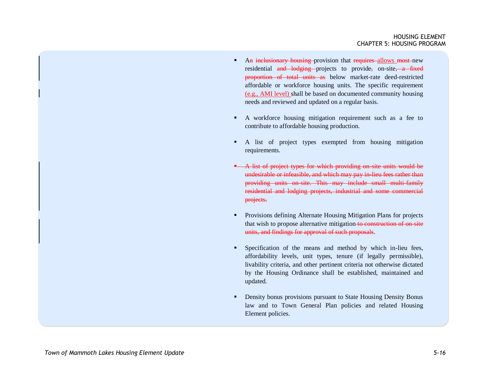- An inclusionary housing provision that requires allows most new residential and lodging projects to provide, on-site, a fixed proportion of total units as below market-rate deed-restricted affordable or workforce housing units. The specific requirement (e.g., AMI level) shall be based on documented community housing needs and reviewed and updated on a regular basis.
- A workforce housing mitigation requirement such as a fee to contribute to affordable housing production.
- A list of project types exempted from housing mitigation requirements.
- A list of project types for which providing on site units would be undesirable or infeasible, and which may pay in-lieu fees rather than providing units on-site. This may include small multi-family residential and lodging projects, industrial and some commercial projects.
- **•** Provisions defining Alternate Housing Mitigation Plans for projects that wish to propose alternative mitigation to construction of on-site units, and findings for approval of such proposals.
- Specification of the means and method by which in-lieu fees, affordability levels, unit types, tenure (if legally permissible), livability criteria, and other pertinent criteria not otherwise dictated by the Housing Ordinance shall be established, maintained and updated.
- **•** Density bonus provisions pursuant to State Housing Density Bonus law and to Town General Plan policies and related Housing Element policies.